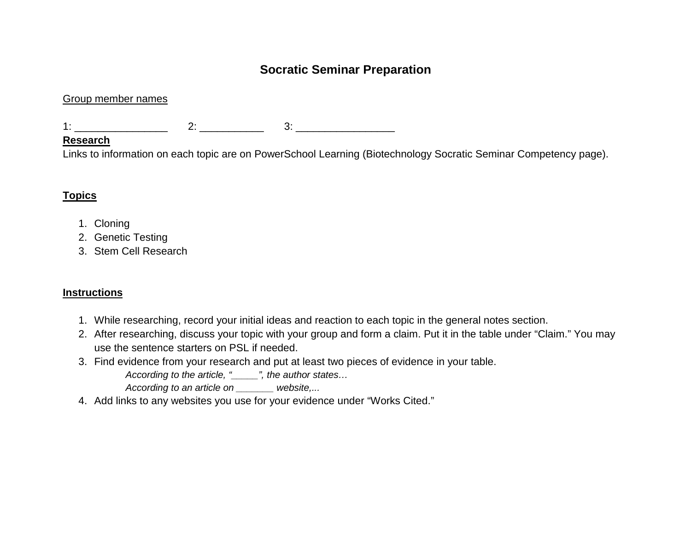## **Socratic Seminar Preparation**

#### Group member names

1: \_\_\_\_\_\_\_\_\_\_\_\_\_\_\_\_ 2: \_\_\_\_\_\_\_\_\_\_\_ 3: \_\_\_\_\_\_\_\_\_\_\_\_\_\_\_\_\_

#### **Research**

Links to information on each topic are on PowerSchool Learning (Biotechnology Socratic Seminar Competency page).

## **Topics**

- 1. Cloning
- 2. Genetic Testing
- 3. Stem Cell Research

### **Instructions**

- 1. While researching, record your initial ideas and reaction to each topic in the general notes section.
- 2. After researching, discuss your topic with your group and form a claim. Put it in the table under "Claim." You may use the sentence starters on PSL if needed.
- 3. Find evidence from your research and put at least two pieces of evidence in your table.

*According to the article, "\_\_\_\_\_", the author states…*

*According to an article on \_\_\_\_\_\_\_ website,...* 

4. Add links to any websites you use for your evidence under "Works Cited."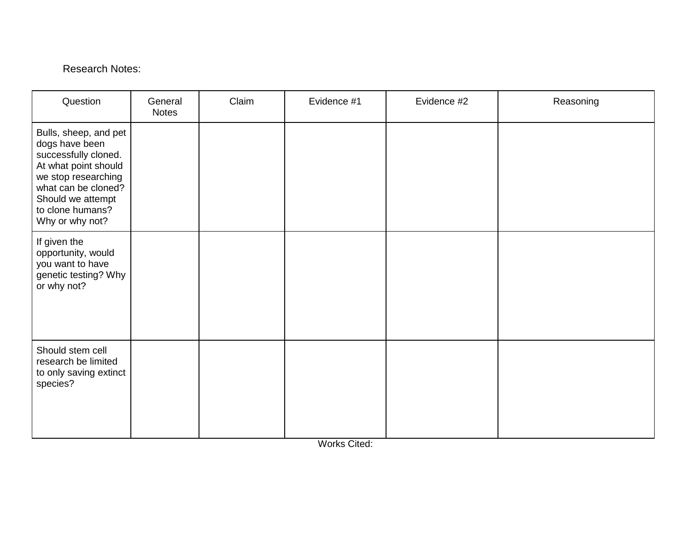## Research Notes:

| Question                                                                                                                                                                                          | General<br><b>Notes</b> | Claim | Evidence #1 | Evidence #2 | Reasoning |
|---------------------------------------------------------------------------------------------------------------------------------------------------------------------------------------------------|-------------------------|-------|-------------|-------------|-----------|
| Bulls, sheep, and pet<br>dogs have been<br>successfully cloned.<br>At what point should<br>we stop researching<br>what can be cloned?<br>Should we attempt<br>to clone humans?<br>Why or why not? |                         |       |             |             |           |
| If given the<br>opportunity, would<br>you want to have<br>genetic testing? Why<br>or why not?                                                                                                     |                         |       |             |             |           |
| Should stem cell<br>research be limited<br>to only saving extinct<br>species?                                                                                                                     |                         |       |             |             |           |

Works Cited: